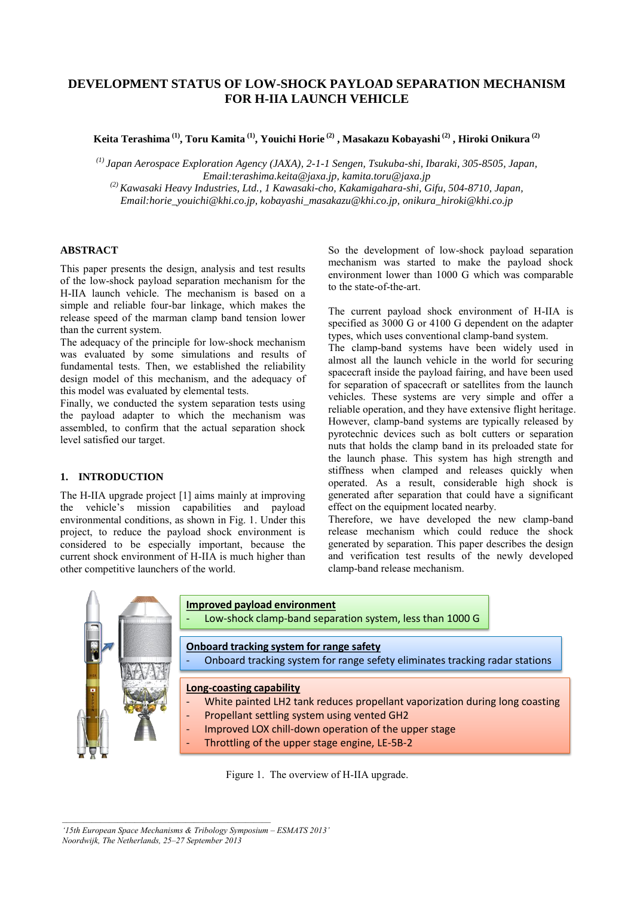# **DEVELOPMENT STATUS OF LOW-SHOCK PAYLOAD SEPARATION MECHANISM FOR H-IIA LAUNCH VEHICLE**

**Keita Terashima (1) , Toru Kamita (1) , Youichi Horie (2) , Masakazu Kobayashi (2) , Hiroki Onikura (2)**

*(1) Japan Aerospace Exploration Agency (JAXA), 2-1-1 Sengen, Tsukuba-shi, Ibaraki, 305-8505, Japan, Email:terashima.keita@jaxa.jp, kamita.toru@jaxa.jp (2) Kawasaki Heavy Industries, Ltd., 1 Kawasaki-cho, Kakamigahara-shi, Gifu, 504-8710, Japan,* 

*Email:horie\_youichi@khi.co.jp, kobayashi\_masakazu@khi.co.jp, onikura\_hiroki@khi.co.jp* 

# **ABSTRACT**

This paper presents the design, analysis and test results of the low-shock payload separation mechanism for the H-IIA launch vehicle. The mechanism is based on a simple and reliable four-bar linkage, which makes the release speed of the marman clamp band tension lower than the current system.

The adequacy of the principle for low-shock mechanism was evaluated by some simulations and results of fundamental tests. Then, we established the reliability design model of this mechanism, and the adequacy of this model was evaluated by elemental tests.

Finally, we conducted the system separation tests using the payload adapter to which the mechanism was assembled, to confirm that the actual separation shock level satisfied our target.

# **1. INTRODUCTION**

The H-IIA upgrade project [1] aims mainly at improving the vehicle's mission capabilities and payload environmental conditions, as shown in Fig. 1. Under this project, to reduce the payload shock environment is considered to be especially important, because the current shock environment of H-IIA is much higher than other competitive launchers of the world.

So the development of low-shock payload separation mechanism was started to make the payload shock environment lower than 1000 G which was comparable to the state-of-the-art.

The current payload shock environment of H-IIA is specified as 3000 G or 4100 G dependent on the adapter types, which uses conventional clamp-band system.

The clamp-band systems have been widely used in almost all the launch vehicle in the world for securing spacecraft inside the payload fairing, and have been used for separation of spacecraft or satellites from the launch vehicles. These systems are very simple and offer a reliable operation, and they have extensive flight heritage. However, clamp-band systems are typically released by pyrotechnic devices such as bolt cutters or separation nuts that holds the clamp band in its preloaded state for the launch phase. This system has high strength and stiffness when clamped and releases quickly when operated. As a result, considerable high shock is generated after separation that could have a significant effect on the equipment located nearby.

Therefore, we have developed the new clamp-band release mechanism which could reduce the shock generated by separation. This paper describes the design and verification test results of the newly developed clamp-band release mechanism.



Figure 1. The overview of H-IIA upgrade.

*'15th European Space Mechanisms & Tribology Symposium – ESMATS 2013' Noordwijk, The Netherlands, 25–27 September 2013* 

 $\mathcal{L}_\mathcal{L} = \{ \mathcal{L}_\mathcal{L} = \{ \mathcal{L}_\mathcal{L} \}$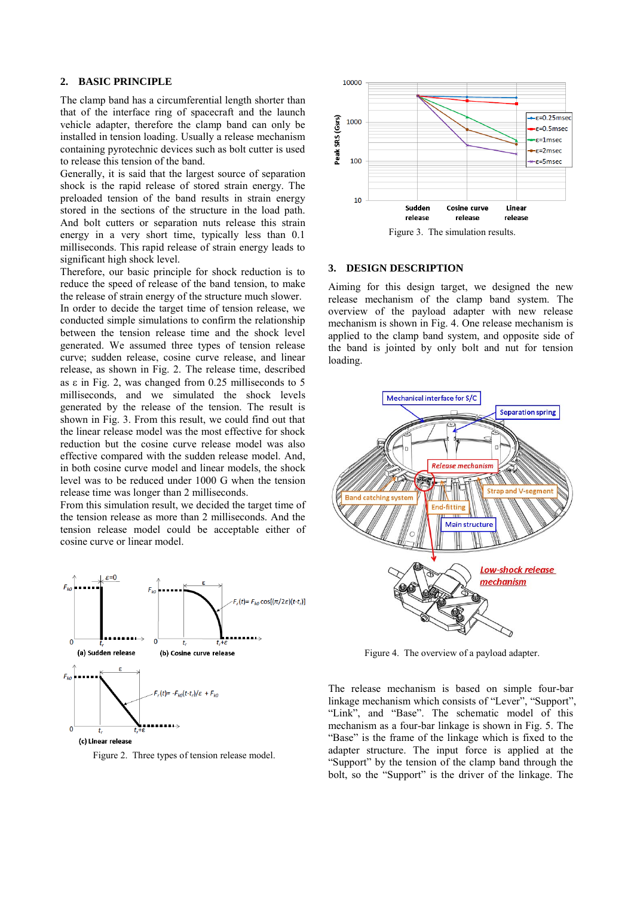## **2. BASIC PRINCIPLE**

The clamp band has a circumferential length shorter than that of the interface ring of spacecraft and the launch vehicle adapter, therefore the clamp band can only be installed in tension loading. Usually a release mechanism containing pyrotechnic devices such as bolt cutter is used to release this tension of the band.

Generally, it is said that the largest source of separation shock is the rapid release of stored strain energy. The preloaded tension of the band results in strain energy stored in the sections of the structure in the load path. And bolt cutters or separation nuts release this strain energy in a very short time, typically less than 0.1 milliseconds. This rapid release of strain energy leads to significant high shock level.

Therefore, our basic principle for shock reduction is to reduce the speed of release of the band tension, to make the release of strain energy of the structure much slower. In order to decide the target time of tension release, we conducted simple simulations to confirm the relationship between the tension release time and the shock level generated. We assumed three types of tension release curve; sudden release, cosine curve release, and linear release, as shown in Fig. 2. The release time, described as  $\varepsilon$  in Fig. 2, was changed from 0.25 milliseconds to 5 milliseconds, and we simulated the shock levels generated by the release of the tension. The result is shown in Fig. 3. From this result, we could find out that the linear release model was the most effective for shock reduction but the cosine curve release model was also effective compared with the sudden release model. And, in both cosine curve model and linear models, the shock level was to be reduced under 1000 G when the tension release time was longer than 2 milliseconds.

From this simulation result, we decided the target time of the tension release as more than 2 milliseconds. And the tension release model could be acceptable either of cosine curve or linear model.



Figure 2. Three types of tension release model.



#### **3. DESIGN DESCRIPTION**

Aiming for this design target, we designed the new release mechanism of the clamp band system. The overview of the payload adapter with new release mechanism is shown in Fig. 4. One release mechanism is applied to the clamp band system, and opposite side of the band is jointed by only bolt and nut for tension loading.



Figure 4. The overview of a payload adapter.

The release mechanism is based on simple four-bar linkage mechanism which consists of "Lever", "Support", "Link", and "Base". The schematic model of this mechanism as a four-bar linkage is shown in Fig. 5. The "Base" is the frame of the linkage which is fixed to the adapter structure. The input force is applied at the "Support" by the tension of the clamp band through the bolt, so the "Support" is the driver of the linkage. The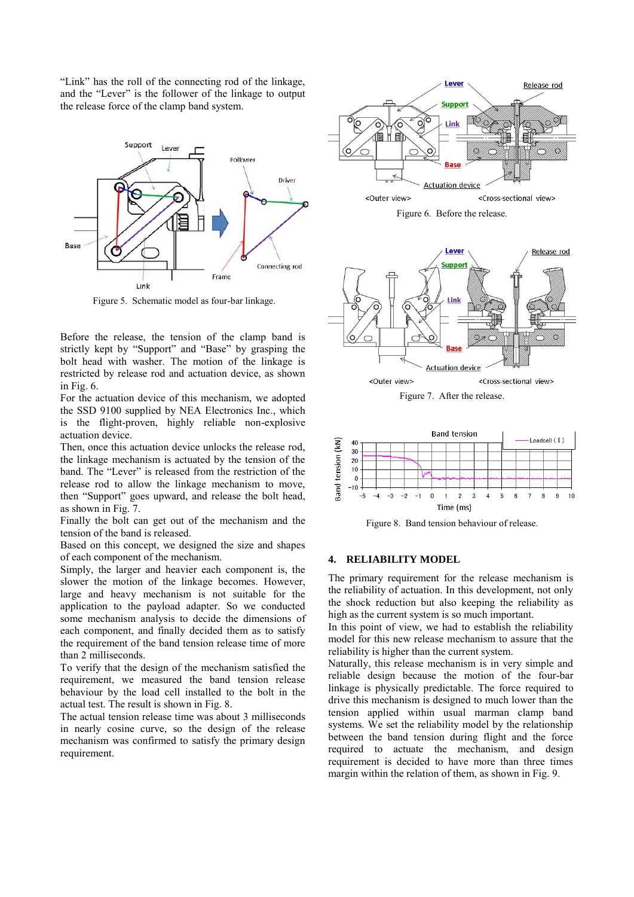"Link" has the roll of the connecting rod of the linkage, and the "Lever" is the follower of the linkage to output the release force of the clamp band system.



Figure 5. Schematic model as four-bar linkage.

Before the release, the tension of the clamp band is strictly kept by "Support" and "Base" by grasping the bolt head with washer. The motion of the linkage is restricted by release rod and actuation device, as shown in Fig. 6.

For the actuation device of this mechanism, we adopted the SSD 9100 supplied by NEA Electronics Inc., which is the flight-proven, highly reliable non-explosive actuation device.

Then, once this actuation device unlocks the release rod, the linkage mechanism is actuated by the tension of the band. The "Lever" is released from the restriction of the release rod to allow the linkage mechanism to move, then "Support" goes upward, and release the bolt head, as shown in Fig. 7.

Finally the bolt can get out of the mechanism and the tension of the band is released.

Based on this concept, we designed the size and shapes of each component of the mechanism.

Simply, the larger and heavier each component is, the slower the motion of the linkage becomes. However, large and heavy mechanism is not suitable for the application to the payload adapter. So we conducted some mechanism analysis to decide the dimensions of each component, and finally decided them as to satisfy the requirement of the band tension release time of more than 2 milliseconds.

To verify that the design of the mechanism satisfied the requirement, we measured the band tension release behaviour by the load cell installed to the bolt in the actual test. The result is shown in Fig. 8.

The actual tension release time was about 3 milliseconds in nearly cosine curve, so the design of the release mechanism was confirmed to satisfy the primary design requirement.





Figure 7. After the release.



Figure 8. Band tension behaviour of release.

### **4. RELIABILITY MODEL**

The primary requirement for the release mechanism is the reliability of actuation. In this development, not only the shock reduction but also keeping the reliability as high as the current system is so much important.

In this point of view, we had to establish the reliability model for this new release mechanism to assure that the reliability is higher than the current system.

Naturally, this release mechanism is in very simple and reliable design because the motion of the four-bar linkage is physically predictable. The force required to drive this mechanism is designed to much lower than the tension applied within usual marman clamp band systems. We set the reliability model by the relationship between the band tension during flight and the force required to actuate the mechanism, and design requirement is decided to have more than three times margin within the relation of them, as shown in Fig. 9.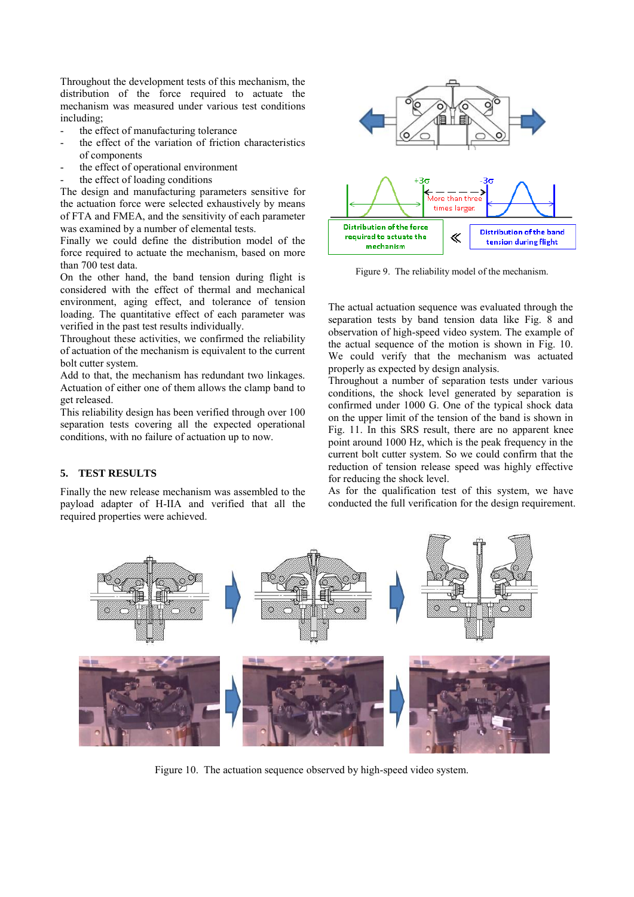Throughout the development tests of this mechanism, the distribution of the force required to actuate the mechanism was measured under various test conditions including;

- the effect of manufacturing tolerance
- the effect of the variation of friction characteristics of components
- the effect of operational environment
- the effect of loading conditions

The design and manufacturing parameters sensitive for the actuation force were selected exhaustively by means of FTA and FMEA, and the sensitivity of each parameter was examined by a number of elemental tests.

Finally we could define the distribution model of the force required to actuate the mechanism, based on more than 700 test data.

On the other hand, the band tension during flight is considered with the effect of thermal and mechanical environment, aging effect, and tolerance of tension loading. The quantitative effect of each parameter was verified in the past test results individually.

Throughout these activities, we confirmed the reliability of actuation of the mechanism is equivalent to the current bolt cutter system.

Add to that, the mechanism has redundant two linkages. Actuation of either one of them allows the clamp band to get released.

This reliability design has been verified through over 100 separation tests covering all the expected operational conditions, with no failure of actuation up to now.

# **5. TEST RESULTS**

Finally the new release mechanism was assembled to the payload adapter of H-IIA and verified that all the required properties were achieved.



Figure 9. The reliability model of the mechanism.

The actual actuation sequence was evaluated through the separation tests by band tension data like Fig. 8 and observation of high-speed video system. The example of the actual sequence of the motion is shown in Fig. 10. We could verify that the mechanism was actuated properly as expected by design analysis.

Throughout a number of separation tests under various conditions, the shock level generated by separation is confirmed under 1000 G. One of the typical shock data on the upper limit of the tension of the band is shown in Fig. 11. In this SRS result, there are no apparent knee point around 1000 Hz, which is the peak frequency in the current bolt cutter system. So we could confirm that the reduction of tension release speed was highly effective for reducing the shock level.

As for the qualification test of this system, we have conducted the full verification for the design requirement.



Figure 10. The actuation sequence observed by high-speed video system.